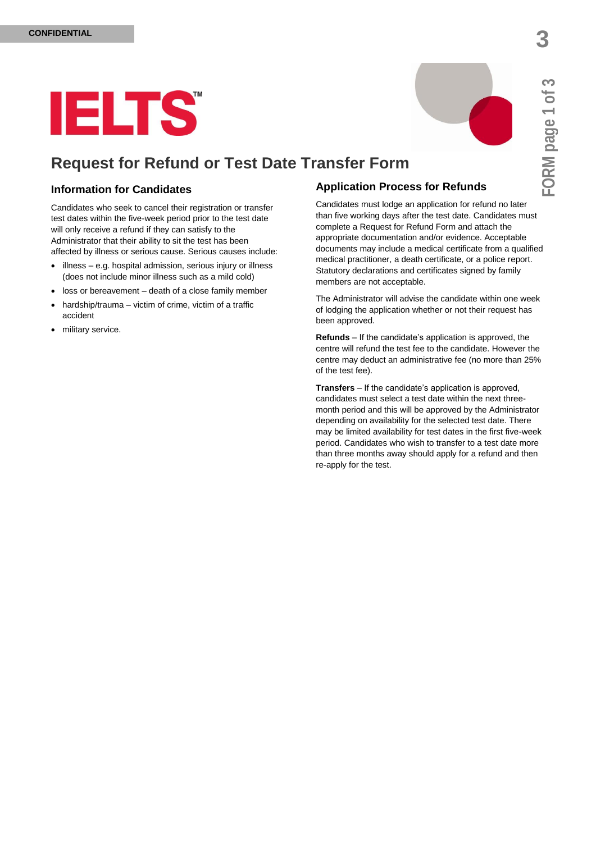

# **Request for Refund or Test Date Transfer Form**

### **Information for Candidates**

Candidates who seek to cancel their registration or transfer test dates within the five-week period prior to the test date will only receive a refund if they can satisfy to the Administrator that their ability to sit the test has been affected by illness or serious cause. Serious causes include:

- $\bullet$  illness e.g. hospital admission, serious injury or illness (does not include minor illness such as a mild cold)
- loss or bereavement death of a close family member
- hardship/trauma victim of crime, victim of a traffic accident
- military service.

# **Application Process for Refunds**

Candidates must lodge an application for refund no later than five working days after the test date. Candidates must complete a Request for Refund Form and attach the appropriate documentation and/or evidence. Acceptable documents may include a medical certificate from a qualified medical practitioner, a death certificate, or a police report. Statutory declarations and certificates signed by family members are not acceptable.

The Administrator will advise the candidate within one week of lodging the application whether or not their request has been approved.

**Refunds** – If the candidate's application is approved, the centre will refund the test fee to the candidate. However the centre may deduct an administrative fee (no more than 25% of the test fee).

**Transfers** – If the candidate's application is approved, candidates must select a test date within the next threemonth period and this will be approved by the Administrator depending on availability for the selected test date. There may be limited availability for test dates in the first five-week period. Candidates who wish to transfer to a test date more than three months away should apply for a refund and then re-apply for the test.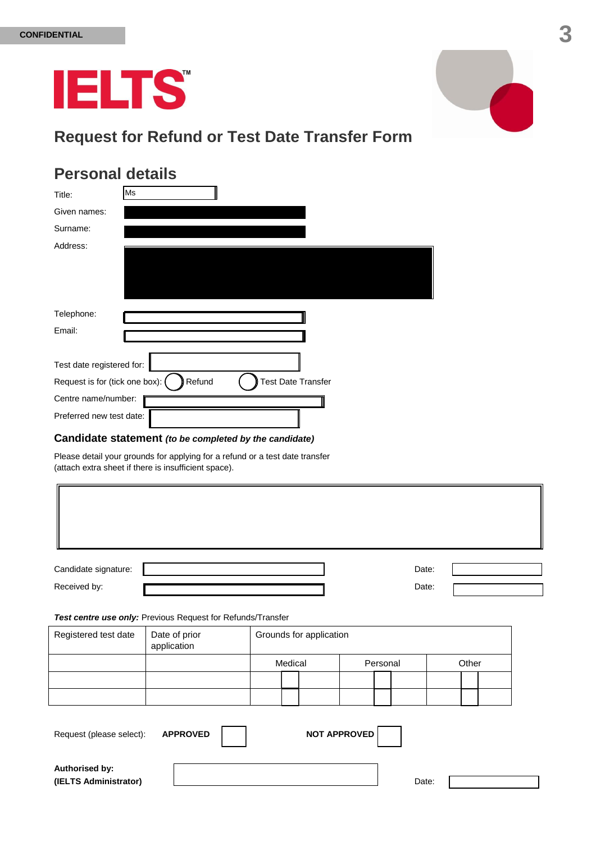

# **Request for Refund or Test Date Transfer Form**

# **Personal details**

| Title:                           | Ms                                  |
|----------------------------------|-------------------------------------|
| Given names:                     |                                     |
| Surname:                         |                                     |
| Address:                         |                                     |
|                                  |                                     |
|                                  |                                     |
|                                  |                                     |
| Telephone:                       |                                     |
| Email:                           |                                     |
| Test date registered for:        |                                     |
| Request is for (tick one box): ( | Refund<br><b>Test Date Transfer</b> |
| Centre name/number:              |                                     |
| Preferred new test date:         |                                     |

# **Candidate statement** *(to be completed by the candidate)*

Please detail your grounds for applying for a refund or a test date transfer (attach extra sheet if there is insufficient space).

| Candidate signature:                                        |                              |         |                         |                     |          | Date: |       |  |
|-------------------------------------------------------------|------------------------------|---------|-------------------------|---------------------|----------|-------|-------|--|
| Received by:                                                |                              |         |                         |                     |          | Date: |       |  |
| Test centre use only: Previous Request for Refunds/Transfer |                              |         |                         |                     |          |       |       |  |
| Registered test date                                        | Date of prior<br>application |         | Grounds for application |                     |          |       |       |  |
|                                                             |                              | Medical |                         |                     | Personal |       | Other |  |
|                                                             |                              |         |                         |                     |          |       |       |  |
|                                                             |                              |         |                         |                     |          |       |       |  |
| Request (please select):                                    | <b>APPROVED</b>              |         |                         | <b>NOT APPROVED</b> |          |       |       |  |
| Authorised by:<br>(IELTS Administrator)                     |                              |         |                         |                     |          | Date: |       |  |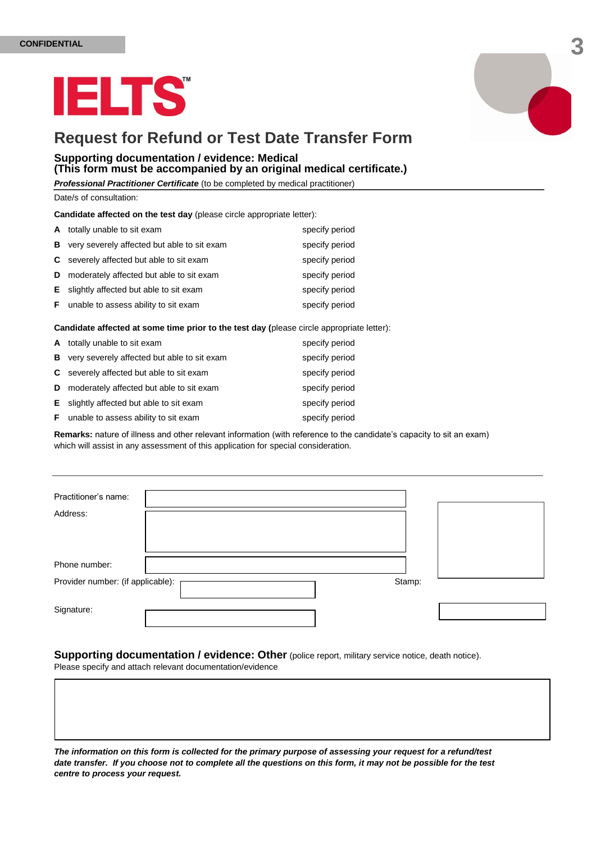



# **Request for Refund or Test Date Transfer Form**

#### **Supporting documentation / evidence: Medical (This form must be accompanied by an original medical certificate.)**

*Professional Practitioner Certificate* (to be completed by medical practitioner)

Date/s of consultation:

**Candidate affected on the test day** (please circle appropriate letter):

|    | A totally unable to sit exam                    | specify period |
|----|-------------------------------------------------|----------------|
| В  | very severely affected but able to sit exam     | specify period |
|    | <b>C</b> severely affected but able to sit exam | specify period |
| D  | moderately affected but able to sit exam        | specify period |
|    | <b>E</b> slightly affected but able to sit exam | specify period |
| F. | unable to assess ability to sit exam            | specify period |

**Candidate affected at some time prior to the test day (**please circle appropriate letter):

|   | A totally unable to sit exam                    | specify period |
|---|-------------------------------------------------|----------------|
| В | very severely affected but able to sit exam     | specify period |
|   | <b>C</b> severely affected but able to sit exam | specify period |
| D | moderately affected but able to sit exam        | specify period |
|   | <b>E</b> slightly affected but able to sit exam | specify period |
|   | <b>F</b> unable to assess ability to sit exam   | specify period |

**Remarks:** nature of illness and other relevant information (with reference to the candidate's capacity to sit an exam) which will assist in any assessment of this application for special consideration.

| Practitioner's name:              |        |  |
|-----------------------------------|--------|--|
|                                   |        |  |
| Address:                          |        |  |
|                                   |        |  |
|                                   |        |  |
|                                   |        |  |
| Phone number:                     |        |  |
| Provider number: (if applicable): | Stamp: |  |
| Signature:                        |        |  |

**Supporting documentation / evidence: Other** (police report, military service notice, death notice). Please specify and attach relevant documentation/evidence

*The information on this form is collected for the primary purpose of assessing your request for a refund/test date transfer. If you choose not to complete all the questions on this form, it may not be possible for the test centre to process your request.*